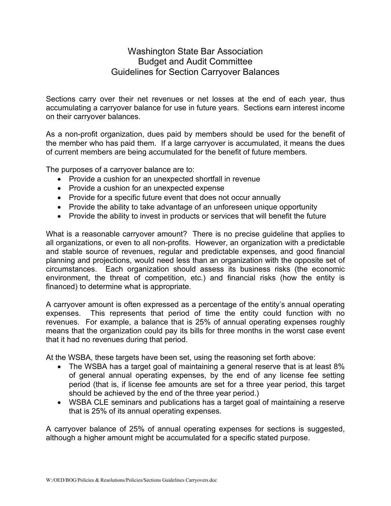## Washington State Bar Association Budget and Audit Committee Guidelines for Section Carryover Balances

Sections carry over their net revenues or net losses at the end of each year, thus accumulating a carryover balance for use in future years. Sections earn interest income on their carryover balances.

As a non-profit organization, dues paid by members should be used for the benefit of the member who has paid them. If a large carryover is accumulated, it means the dues of current members are being accumulated for the benefit of future members.

The purposes of a carryover balance are to:

- Provide a cushion for an unexpected shortfall in revenue
- Provide a cushion for an unexpected expense
- Provide for a specific future event that does not occur annually
- Provide the ability to take advantage of an unforeseen unique opportunity
- Provide the ability to invest in products or services that will benefit the future

What is a reasonable carryover amount? There is no precise guideline that applies to all organizations, or even to all non-profits. However, an organization with a predictable and stable source of revenues, regular and predictable expenses, and good financial planning and projections, would need less than an organization with the opposite set of circumstances. Each organization should assess its business risks (the economic environment, the threat of competition, etc.) and financial risks (how the entity is financed) to determine what is appropriate.

A carryover amount is often expressed as a percentage of the entity's annual operating expenses. This represents that period of time the entity could function with no revenues. For example, a balance that is 25% of annual operating expenses roughly means that the organization could pay its bills for three months in the worst case event that it had no revenues during that period.

At the WSBA, these targets have been set, using the reasoning set forth above:

- The WSBA has a target goal of maintaining a general reserve that is at least 8% of general annual operating expenses, by the end of any license fee setting period (that is, if license fee amounts are set for a three year period, this target should be achieved by the end of the three year period.)
- WSBA CLE seminars and publications has a target goal of maintaining a reserve that is 25% of its annual operating expenses.

A carryover balance of 25% of annual operating expenses for sections is suggested, although a higher amount might be accumulated for a specific stated purpose.